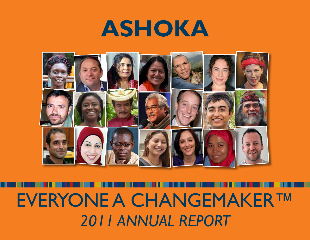# **ASHOKA**



Everyone a Changemaker™ *2011 Annual REPORT*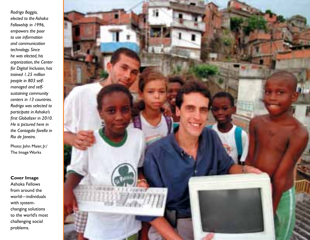*Rodrigo Baggio, elected to the Ashoka Fellowship in 1996, empowers the poor to use information and communication technology. Since he was elected, his organization, the Center for Digital Inclusion, has trained 1.25 million people in 803 selfmanaged and selfsustaining community centers in 13 countries. Rodrigo was selected to participate in Ashoka's first Globalizer in 2010. He is pictured here in the Cantagalo favella in Rio de Janeiro.*

Photo: John Maier, Jr./ The Image Works

### **Cover Image**

Ashoka Fellows from around the world—individuals with systemchanging solutions to the world's most challenging social problems.

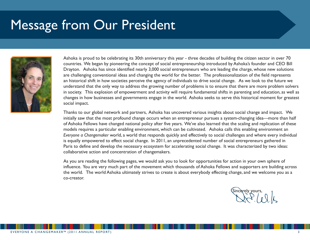# Message from Our President



Ashoka is proud to be celebrating its 30th anniversary this year - three decades of building the citizen sector in over 70 countries. We began by pioneering the concept of social entrepreneurship introduced by Ashoka's founder and CEO Bill Drayton. Ashoka has since identified nearly 3,000 social entrepreneurs who are leading the charge, whose new solutions are challenging conventional ideas and changing the world for the better. The professionalization of the field represents an historical shift in how societies perceive the agency of individuals to drive social change. As we look to the future we understand that the only way to address the growing number of problems is to ensure that there are more problem solvers in society. This explosion of empowerment and activity will require fundamental shifts in parenting and education, as well as changes in how businesses and governments engage in the world. Ashoka seeks to serve this historical moment for greatest social impact.

Thanks to our global network and partners, Ashoka has uncovered various insights about social change and impact. We initially saw that the most profound change occurs when an entrepreneur pursues a system-changing idea—more than half of Ashoka Fellows have changed national policy after five years. We've also learned that the scaling and replication of these models requires a particular enabling environment, which can be cultivated. Ashoka calls this enabling environment an *Everyone a Changemaker* world, a world that responds quickly and effectively to social challenges and where every individual is equally empowered to effect social change. In 2011, an unprecedented number of social entrepreneurs gathered in Paris to define and develop the necessary ecosystem for accelerating social change. It was characterized by two ideas: collaborative action and concentration of changemakers.

As you are reading the following pages, we would ask you to look for opportunities for action in your own sphere of influence. You are very much part of the movement which thousands of Ashoka Fellows and supporters are building across the world. The world Ashoka ultimately strives to create is about everybody effecting change, and we welcome you as a co-creator.

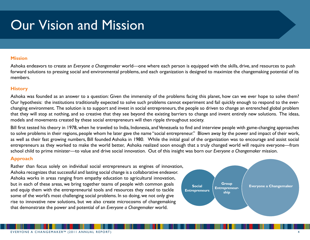# Our Vision and Mission

### **Mission**

Ashoka endeavors to create an *Everyone a Changemaker* world—one where each person is equipped with the skills, drive, and resources to push forward solutions to pressing social and environmental problems, and each organization is designed to maximize the changemaking potential of its members.

### **History**

Ashoka was founded as an answer to a question: Given the immensity of the problems facing this planet, how can we ever hope to solve them? Our hypothesis: the institutions traditionally expected to solve such problems cannot experiment and fail quickly enough to respond to the everchanging environment. The solution is to support and invest in social entrepreneurs, the people so driven to change an entrenched global problem that they will stop at nothing, and so creative that they see beyond the existing barriers to change and invent entirely new solutions. The ideas, models and movements created by these social entrepreneurs will then ripple throughout society.

Bill first tested his theory in 1978, when he traveled to India, Indonesia, and Venezuela to find and interview people with game-changing approaches to solve problems in their regions, people whom he later gave the name "social entrepreneur." Blown away by the power and impact of their work, as well as their fast growing numbers, Bill founded Ashoka in 1980. While the initial goal of the organization was to encourage and assist social entrepreneurs as they worked to make the world better, Ashoka realized soon enough that a truly changed world will require everyone—from school child to prime minister—to value and drive social innovation. Out of this insight was born our *Everyone a Changemaker* mission.

### **Approach**

Rather than focus solely on individual social entrepreneurs as engines of innovation, Ashoka recognizes that successful and lasting social change is a collaborative endeavor. Ashoka works in areas ranging from empathy education to agricultural innovation, but in each of these areas, we bring together teams of people with common goals and equip them with the entrepreneurial tools and resources they need to tackle some of the world's most challenging social problems. In so doing, we not only give rise to innovative new solutions, but we also create microcosms of changemaking that demonstrate the power and potential of an *Everyone a Changemaker* world.

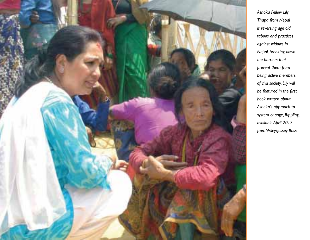

*Ashoka Fellow Lily Thapa from Nepal is reversing age old taboos and practices against widows in Nepal, breaking down the barriers that prevent them from being active members of civil society. Lily will be featured in the first book written about Ashoka's approach to system change, Rippling, available April 2012 from Wiley/Jossey-Bass.*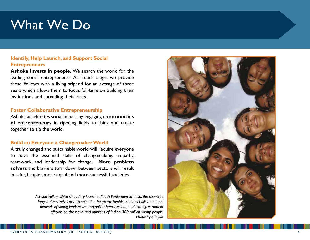# What We Do

### **Identify, Help Launch, and Support Social Entrepreneurs**

**Ashoka invests in people.** We search the world for the leading social entrepreneurs. At launch stage, we provide these Fellows with a living stipend for an average of three years which allows them to focus full-time on building their institutions and spreading their ideas.

### **Foster Collaborative Entrepreneurship**

Ashoka accelerates social impact by engaging **communities of entrepreneurs** in ripening fields to think and create together to tip the world.

### **Build an Everyone a Changemaker World**

A truly changed and sustainable world will require everyone to have the essential skills of changemaking: empathy, teamwork and leadership for change. **More problem solvers** and barriers torn down between sectors will result in safer, happier, more equal and more successful societies.

> *Ashoka Fellow Ishita Chaudhry launched Youth Parliament in India, the country's largest direct advocacy organization for young people. She has built a national network of young leaders who organize themselves and educate government officials on the views and opinions of India's 300 million young people. Photo: Kyle Taylor*

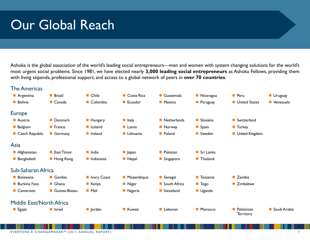# Our Global Reach

Ashoka is the global association of the world's leading social entrepreneurs—men and women with system changing solutions for the world's most urgent social problems. Since 1981, we have elected nearly **3,000 leading social entrepreneurs** as Ashoka Fellows, providing them with living stipends, professional support, and access to a global network of peers in **over 70 countries**.

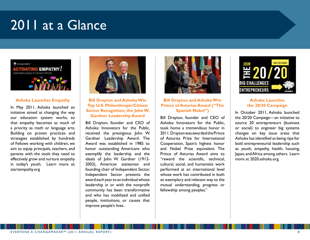# 2011 at a Glance



### **Ashoka Launches Empathy**

In May 2011, Ashoka launched an initiative aimed at changing the way our education system works, so that empathy becomes as much of a priority as math or language arts. Building on proven practices and strategies established by hundreds of Fellows working with children, we aim to equip principals, teachers, and parents with the tools they need to effectively grow and nurture empathy in today's youth. Learn more at: startempathy.org



### **Bill Drayton and Ashoka Win Top U.S. Philanthropic/Citizen Sector Recognition, the John W. Gardner Leadership Award**

Bill Drayton, founder and CEO of Ashoka: Innovators for the Public, received the prestigious John W. Gardner Leadership Award. The Award was established in 1985 to honor outstanding Americans who exemplify the leadership and the ideals of John W. Gardner (1912- 2002), American statesman and founding chair of Independent Sector. Independent Sector presents the award each year to an individual whose leadership in or with the nonprofit community has been transformative and who has mobilized and unified people, institutions, or causes that improve people's lives.



### **Bill Drayton and Ashoka Win Prince of Asturias Award ("The Spanish Nobel")**

Bill Drayton, founder and CEO of Ashoka: Innovators for the Public, took home a tremendous honor in 2011. Drayton was awarded the Prince of Asturias Prize for International Cooperation, Spain's highest honor and Nobel Prize equivalent. The Prince of Asturias Award aims to "reward the scientific, technical, cultural, social, and humanistic work performed at an international level whose work has contributed in both an exemplary and relevant way to the mutual understanding, progress or fellowship among peoples."



### **Ashoka Launches the 20/20 Campaign**

In October 2011, Ashoka launched the 20/20 Campaign—an initiative to source 20 entrepreneurs (business or social) to engineer big systems changes on key issue areas that Ashoka has identified as being ripe for bold entrepreneurial leadership such as youth, empathy, health, housing, Japan, and Africa among others. Learn more at 2020.ashoka.org.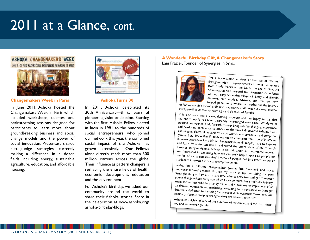# 2011 at a Glance, *cont.*

### ASHOKA CHANGEMAKERS' WEEK JANE 16 - 23 FARIS WELCOMES SOCIAL ENTREPRENEURS FROM AROUND THE WORLD



### **Changemakers Week in Paris**

In June 2011, Ashoka hosted the Changemakers Week in Paris which included workshops, debates, and brainstorming sessions designed for participants to learn more about groundbreaking business and social change models and the power of social innovation. Presenters shared cutting-edge strategies currently making a difference in a dozen fields including energy, sustainable agriculture, education, and affordable housing.



#### **Ashoka Turns 30**

In 2011, Ashoka celebrated its 30th Anniversary—thirty years of pioneering vision and action. Starting with the first Ashoka Fellow elected in India in 1981 to the hundreds of social entrepreneurs who joined our network this year, the combined social impact of the Ashoka has grown extensively. Our Fellows alone directly reach more than 300 million citizens across the globe. Their influence as pattern changers is reshaping the entire fields of health, economic development, education and the environment.

For Ashoka's birthday, we asked our community around the world to share their Ashoka stories. Share in the celebration at www.ashoka.org/ ashoka-birthday-blogs.

### **A Wonderful Birthday Gift, A Changemaker's Story** Lani Frazier, Founder of Synergies in Sync.



"As a bone-tumor survivor at the age of five and first-generation Filipino-American who emigrated from Tondo Manila to the US at the age of nine, the acculturation and personal transformation experience was not easy. An entire village of family and friends, mentors, role models, advisors, and teachers have

helped guide me to where I am today; but the journey of finding my life's meaning did not have clarity until I was a doctoral student at Pepperdine University years ago and discovered Ashoka.

This discovery was a clear, defining, moment and I'm happy to say that my entire world has been pleasantly re-arranged ever since! Windows of possibilities opened; I felt feverish to help bring this life-changing experience and newfound confidence to others. At the time life-changing experience<br>Pursuing my doctoral research work example in a discovered Ashoka, I was pursuing my doctoral research work on women entrepreneurs and computer gaming. But, I knew that if I truly wanted to investigate the issue of HOW to increase awareness for a life of changemaking in all people, I had to explore and learn from the experts. I re-directed the entire focus of my research towards studying Ashoka Fellows in the education and workforce sector. I was interested in exploring how we can truly help prepare all people for the life of a changemaker. And I mean all people, not just practitioners or academics interested in social entrepreneurship.

Today, I'm a full-time changemaker (young late bloomer) and social entrepreneur-in-the-works through my work at my consulting company, Synergies in Sync. I am also a part-time adjunct professor and get to mentor young changemakers every day, which I love so much. I'm a multi-disciplinarysocio-techie inspired-educator by trade, and a business entrepreneur of an on-demand education and marketing consulting and talent services boutique firm that's dedicated to fostering the *Everyone a Changemaker* movement. Our company slogan is "helping changemakers champion the world"!

Ashoka has highly influenced the outcome of my career...and for that I thank you and am forever grateful.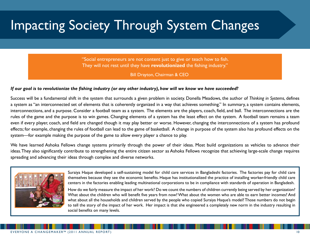# Impacting Society Through System Changes

"Social entrepreneurs are not content just to give or teach how to fish. They will not rest until they have **revolutionized** the fishing industry."

Bill Drayton, Chairman & CEO

### *If our goal is to revolutionize the fishing industry (or any other industry), how will we know we have succeeded?*

Success will be a fundamental shift in the system that surrounds a given problem in society. Donella Meadows, the author of *Thinking in Systems*, defines a system as "an interconnected set of elements that is coherently organized in a way that achieves something." In summary, a system contains elements, interconnections, and a purpose. Consider a football team as a system. The elements are the players, coach, field, and ball. The interconnections are the rules of the game and the purpose is to win games. Changing elements of a system has the least effect on the system. A football team remains a team even if every player, coach, and field are changed though it may play better or worse. However, changing the interconnections of a system has profound effects; for example, changing the rules of football can lead to the game of basketball. A change in purpose of the system also has profound effects on the system—for example making the purpose of the game to allow every player a chance to play.

We have learned Ashoka Fellows change systems primarily through the power of their ideas. Most build organizations as vehicles to advance their ideas. They also significantly contribute to strengthening the entire citizen sector as Ashoka Fellows recognize that achieving large-scale change requires spreading and advancing their ideas through complex and diverse networks.



Suraiya Haque developed a self-sustaining model for child care services in Bangladeshi factories. The factories pay for child care themselves because they see the economic benefits. Haque has institutionalized the practice of installing worker-friendly child care centers in the factories enabling leading multinational corporations to be in compliance with standards of operation in Bangladesh.

How do we fairly measure the impact of her work? Do we count the numbers of children currently being served by her organization? What about the children who will benefit five years from now? What about the women who are able to earn better incomes? And what about all the households and children served by the people who copied Suraiya Haque's model? Those numbers do not begin to tell the story of the impact of her work. Her impact is that she engineered a completely new norm in the industry resulting in social benefits on many levels.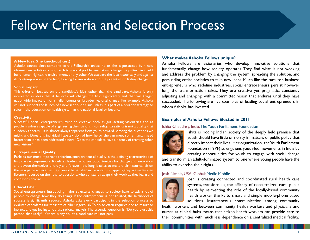### Fellow Criteria and Selection Process

#### **A New Idea (the knock-out test)**

Ashoka cannot elect someone to the Fellowship unless he or she is possessed by a new idea—a new solution or approach to a social problem—that will change the pattern in a field, be it human rights, the environment, or any other. We evaluate the idea historically and against its contemporaries in the field, looking for innovation and the potential for lasting change.

#### **Social Impact**

This criterion focuses on the candidate's idea rather than the candidate. Ashoka is only interested in ideas that it believes will change the field significantly and that will trigger nationwide impact or, for smaller countries, broader regional change. For example, Ashoka will not support the launch of a new school or clinic unless it is part of a broader strategy to reform the education or health system at the national level or beyond.

#### **Creativity**

Successful social entrepreneurs must be creative both as goal-setting visionaries and as problem solvers capable of engineering their visions into reality. Creativity is not a quality that suddenly appears—it is almost always apparent from youth onward. Among the questions we might ask: Does this individual have a vision of how he or she can meet some human need better than it has been addressed before? Does the candidate have a history of creating other new visions?

#### **Entrepreneurial Quality**

Perhaps our most important criterion, entrepreneurial quality is the defining characteristic of first class entrepreneurs. It defines leaders who see opportunities for change and innovation and devote themselves entirely and forever how long it takes to make their historical vision the new pattern. Because they cannot be satisfied in life until this happens, they are wide-open listeners focused on the how-to questions, who constantly adapt their work as they learn and conditions change.

#### **Ethical Fiber**

Social entrepreneurs introducing major structural changes to society have to ask a lot of people to change how they do things. If the entrepreneur is not trusted, the likelihood of success is significantly reduced. Ashoka asks every participant in the selection process to evaluate candidates for their ethical fiber rigorously. To do so often requires one to resort to instinct and gut feelings, not just rational analysis. The essential question is: "Do you trust this person absolutely?" If there is any doubt, a candidate will not pass.

### **What makes Ashoka Fellows unique?**

Ashoka Fellows are visionaries who develop innovative solutions that fundamentally change how society operates. They find what is not working and address the problem by changing the system, spreading the solution, and persuading entire societies to take new leaps. Much like the rare, top business entrepreneurs who redefine industries, social entrepreneurs persist however long the transformation takes. They are creative yet pragmatic, constantly adjusting and changing, with a committed vision that endures until they have succeeded. The following are five examples of leading social entrepreneurs in whom Ashoka has invested.

### **Examples of Ashoka Fellows Elected in 2011**

#### Ishita Chaudhry, India;The Youth Parliament Foundation



Ishita is ridding Indian society of the deeply held premise that youth should have little or no say in matters of public policy that directly impact their lives. Her organization, the Youth Parliament Foundation (TYPF) strengthens youth-led movements in India by creating opportunities for youth to engage with social change

and transform an adult-dominated system to one where young people have the ability to exercise their rights.

#### Josh Nesbit, USA, Global; Medic Mobile



Josh is creating connected and coordinated rural health care systems, transforming the efficacy of decentralized rural public health by reinventing the role of the locally-based community health worker thanks to smart and simple mobile-phone based solutions. Instantaneous communication among community

health workers and between community health workers and physicians and nurses at clinical hubs means that citizen health workers can provide care to their communities with much less dependence on a centralized medical facility.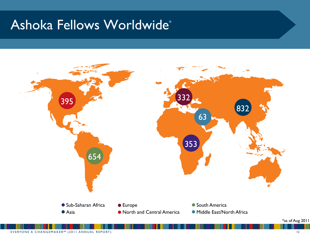### Ashoka Fellows Worldwide\*

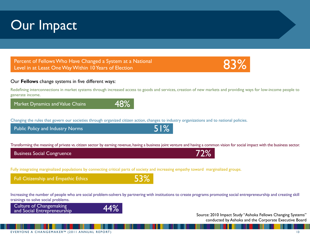



Redefining interconnections in market systems through increased access to goods and services, creation of new markets and providing ways for low-income people to generate income.

Market Dynamics and Value Chains **48%** 

Changing the rules that govern our societies through organized citizen action, changes to industry organizations and to national policies.

Public Policy and Industry Norms

Transforming the meaning of private vs. citizen sector by earning revenue, having a business joint venture and having a common vision for social impact with the business sector.

51%



Fully integrating marginalized populations by connecting critical parts of society and increasing empathy toward marginalized groups.

Full Citizenship and Empathic Ethics

Increasing the number of people who are social problem-solvers by partnering with institutions to create programs promoting social entrepreneurship and creating skill trainings to solve social problems.

44% Culture of Changemaking and Social Entrepreneurship



Source: 2010 Impact Study "Ashoka Fellows Changing Systems" conducted by Ashoka and the Corporate Executive Board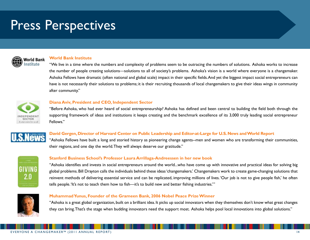# Press Perspectives



### **World Bank Institute**

"We live in a time where the numbers and complexity of problems seem to be outracing the numbers of solutions. Ashoka works to increase the number of people creating solutions—solutions to all of society's problems. Ashoka's vision is a world where everyone is a changemaker. Ashoka Fellows have dramatic (often national and global scale) impact in their specific fields. And yet the biggest impact social entrepreneurs can have is not necessarily their solutions to problems; it is their recruiting thousands of local changemakers to give their ideas wings in community after community."



### **Diana Aviv, President and CEO, Independent Sector**

"Before Ashoka, who had ever heard of social entrepreneurship? Ashoka has defined and been central to building the field both through the supporting framework of ideas and institutions it keeps creating and the benchmark excellence of its 3,000 truly leading social entrepreneur Fellows."



### **David Gergen, Director of Harvard Center on Public Leadership and Editor-at-Large for U.S. News and World Report**

"Ashoka Fellows have built a long and storied history as pioneering change agents--men and women who are transforming their communities, their regions, and one day the world. They will always deserve our gratitude."



### **Stanford Business School's Professor Laura Arrillaga-Andreessen in her new book**

"Ashoka identifies and invests in social entrepreneurs around the world...who have come up with innovative and practical ideas for solving big global problems. Bill Drayton calls the individuals behind these ideas 'changemakers.' Changemakers work to create game-changing solutions that reinvent methods of delivering essential service and can be replicated, improving millions of lives. 'Our job is not to give people fish,' he often tells people. 'It's not to teach them how to fish—it's to build new and better fishing industries.'"



### **Muhammad Yunus, Founder of the Grameen Bank, 2006 Nobel Peace Prize Winner**

"Ashoka is a great global organization, built on a brilliant idea. It picks up social innovators when they themselves don't know what great changes they can bring. That's the stage when budding innovators need the support most. Ashoka helps pool local innovations into global solutions."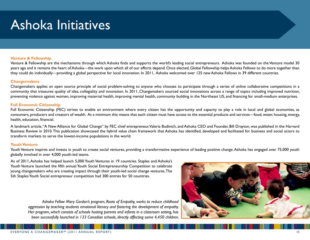# Ashoka Initiatives

### **Venture & Fellowship**

Venture & Fellowship are the mechanisms through which Ashoka finds and supports the world's leading social entrepreneurs. Ashoka was founded on the Venture model 30 years ago and it remains the heart of Ashoka—the work upon which all of our efforts depend. Once elected, Global Fellowship helps Ashoka Fellows to do more together than they could do individually—providing a global perspective for local innovation. In 2011, Ashoka welcomed over 125 new Ashoka Fellows in 39 different countries.

### **Changemakers**

Changemakers applies an open source principle of social problem-solving to anyone who chooses to participate through a series of online collaborative competitions in a community that treasures quality of idea, collegiality and innovation. In 2011, Changemakers sourced social innovations across a range of topics including improved nutrition, preventing violence against women, improving maternal health, improving mental health, community building in the Northeast US, and financing for small-medium enterprises.

### **Full Economic Citizenship**

Full Economic Citizenship (FEC) strives to enable an environment where every citizen has the opportunity and capacity to play a role in local and global economies, as consumers, producers and creators of wealth. At a minimum this means that each citizen must have access to the essential products and services—food, water, housing, energy, health, education, financial.

A landmark article, "A New Alliance for Global Change" by FEC chief entrepreneur, Valeria Budinich, and Ashoka CEO and Founder, Bill Drayton, was published in the Harvard Business Review in 2010. This publication showcased the hybrid value chain framework that Ashoka has identified, developed and facilitated for business and social actors to transform markets to serve the lowest-income populations in the world.

### **Youth Venture**

Youth Venture inspires and invests in youth to create social ventures, providing a transformative experience of leading positive change. Ashoka has engaged over 75,000 youth globally involved in over 4,000 youth-led teams.

As of 2011, Ashoka has helped launch 5,000 Youth Ventures in 19 countries. Staples and Ashoka's Youth Venture launched the fifth annual Youth Social Entrepreneurship Competition to celebrate young changemakers who are creating impact through their youth-led social change ventures. The 5th Staples Youth Social entrepreneur competition had 300 entries for 50 countries.

> *Ashoka Fellow Mary Gordon's program, Roots of Empathy, works to reduce childhood aggression by teaching students emotional literacy and fostering the development of empathy. Her program, which consists of schools hosting parents and infants in a classroom setting, has been successfully launched in 133 Canadian schools, directly affecting some 4,450 children.*

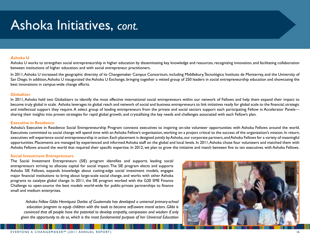# Ashoka Initiatives, *cont.*

#### **Ashoka U**

Ashoka U works to strengthen social entrepreneurship in higher education by disseminating key knowledge and resources, recognizing innovation, and facilitating collaboration between institutions of higher education, and with social entrepreneur practitioners.

In 2011, Ashoka U increased the geographic diversity of its Changemaker Campus Consortium, including Middlebury, Tecnológico Instituto de Monterrey, and the University of San Diego. In addition, Ashoka U inaugurated the Ashoka U Exchange, bringing together a vetted group of 250 leaders in social entrepreneurship education and showcasing the best innovations in campus-wide change efforts.

#### **Globalizer**

In 2011, Ashoka held two Globalizers to identify the most effective international social entrepreneurs within our network of Fellows and help them expand their impact to become truly global in scale. Ashoka leverages its global reach and network of social and business entrepreneurs to link initiatives ready for global scale to the financial, strategic and intellectual support they require. A select group of leading entrepreneurs from the private and social sectors support each participating Fellow in Accelerator Panels sharing their insights into proven strategies for rapid global growth, and crystallizing the key needs and challenges associated with each Fellow's plan.

#### **Executive in Residence**

Ashoka's Executive in Residence Social Entrepreneurship Program connects executives to inspiring on-site volunteer opportunities with Ashoka Fellows around the world. Executives committed to social change will spend time with an Ashoka Fellow's organization, working on a project critical to the success of the organization's mission. In return, executives will experience social entrepreneurship in action. Each placement is designed jointly by Ashoka, our corporate partners, and Ashoka Fellows for a variety of meaningful opportunities. Placements are managed by experienced and informed Ashoka staff on the global and local levels. In 2011, Ashoka chose four volunteers and matched them with Ashoka Fellows around the world that required their specific expertise. In 2012, we plan to grow the initiative and match between five to ten executives with Ashoka Fellows.

### **Social Investment Entrepreneurs**

The Social Investment Entrepreneurs (SIE) program identifies and supports leading social entrepreneurs striving to allocate capital for social impact. The SIE program elects and supports Ashoka SIE Fellows, expands knowledge about cutting-edge social investment models, engages major financial institutions to bring about large-scale social change, and works with other Ashoka programs to catalyze global change. In 2011, the SIE program worked with the G20 SME Finance Challenge to open-source the best models world-wide for public-private partnerships to finance small and medium enterprises.

*Ashoka Fellow Gilda Henríquez Darlas of Guatemala has developed a universal primary-school education program to equip children with the tools to become self-aware moral actors. Gilda is convinced that all people have the potential to develop empathy, compassion and wisdom if only given the opportunity to do so, which is the most fundamental purpose of her Universal Education* 

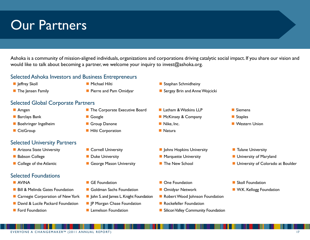# **Our Partners**

Ashoka is a community of mission-aligned individuals, organizations and corporations driving catalytic social impact. If you share our vision and would like to talk about becoming a partner, we welcome your inquiry to invest@ashoka.org.

### Selected Ashoka Investors and Business Entrepreneurs

- **F** Jeffrey Skoll
- $\blacksquare$  The Jensen Family
- **Michael Hilti**
- **Pierre and Pam Omidyar**

### Selected Global Corporate Partners

- **Amgen**
- **Barclays Bank**
- **Boehringer Ingelheim**
- CitiGroup

### Selected University Partners

- **Arizona State University**
- **Babson College**
- College of the Atlantic

### Selected Foundations

- **NAVINA**
- Bill & Melinda Gates Foundation
- Carnegie Corporation of New York
- David & Lucile Packard Foundation
- **Ford Foundation**
- **The Corporate Executive Board** Google
- **Group Danone**
- **Hilti Corporation**
- Cornell University
- **Duke University**
- George Mason University
- GE Foundation
- Goldman Sachs Foundation
- **John S. and James L. Knight Foundation**
- **P** JP Morgan Chase Foundation
- **Lemelson Foundation**
- Stephan Schmidheiny
- Sergey Brin and Anne Wojcicki
- Latham & Watkins LLP
- **McKinsey & Company**
- Nike, Inc.
- **Natura**
- **Johns Hopkins University**
- **Marquette University**
- **The New School**
- **Cone Foundation**
- **DAD** Omidyar Network
- Robert Wood Johnson Foundation
- **Rockefeller Foundation**
- Silicon Valley Community Foundation

Staples **Western Union** 

Siemens

- **Tulane University**
- **University of Maryland**
- **University of Colorado at Boulder**
- Skoll Foundation
- **W.K. Kellogg Foundation**

EVERYONE A CHANGEMAKER™ (2011 ANNUAL REPORT) 17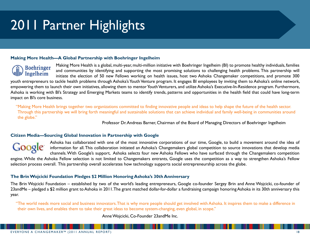# 2011 Partner Highlights

### **Making More Health—A Global Partnership with Boehringer Ingelheim**

### **Boehringer** Ingelheim

Making More Health is a global, multi-year, multi-million initiative with Boehringer Ingelheim (BI) to promote healthy individuals, families and communities by identifying and supporting the most promising solutions to challenging health problems. This partnership will initiate the election of 50 new Fellows working on health issues, host two Ashoka Changemaker competitions, and promote 300

youth entrepreneurs to tackle health problems through Ashoka's Youth Venture program. It engages BI employees by inviting them to Ashoka's online network, empowering them to launch their own initiatives, allowing them to mentor Youth Venturers, and utilize Ashoka's Executive-In-Residence program. Furthermore, Ashoka is working with BI's Strategy and Emerging Markets teams to identify trends, patterns and opportunities in the health field that could have long-term impact on BI's core business.

"Making More Health brings together two organizations committed to finding innovative people and ideas to help shape the future of the health sector. Through this partnership we will bring forth meaningful and sustainable solutions that can achieve individual and family well-being in communities around the globe."

Professor Dr. Andreas Barner, Chairman of the Board of Managing Directors of Boehringer Ingelheim

### **Citizen Media—Sourcing Global Innovation in Partnership with Google**

### Google

Ashoka has collaborated with one of the most innovative corporations of our time, Google, to build a movement around the idea of information for all. This collaboration initiated an Ashoka's Changemakers global competition to source innovations that develop media channels. With Google's support, Ashoka selects four new Ashoka Fellows who have surfaced through the Changemakers competition

engine. While the Ashoka Fellow selection is not limited to Changemakers entrants, Google uses the competition as a way to strengthen Ashoka's Fellow selection process overall. This partnership overall accelerates how technology supports social entrepreneurship across the globe.

### **The Brin Wojcicki Foundation Pledges \$2 Million Honoring Ashoka's 30th Anniversary**

The Brin Wojcicki Foundation – established by two of the world's leading entrepreneurs, Google co-founder Sergey Brin and Anne Wojcicki, co-founder of 23andMe – pledged a \$2 million grant to Ashoka in 2011. The grant matched dollar-for-dollar a fundraising campaign honoring Ashoka in its 30th anniversary this year.

"The world needs more social and business innovators. That is why more people should get involved with Ashoka. It inspires them to make a difference in their own lives, and enables them to take their great ideas to become system-changing, even global, in scope."

Anne Wojcicki, Co-Founder 23andMe Inc.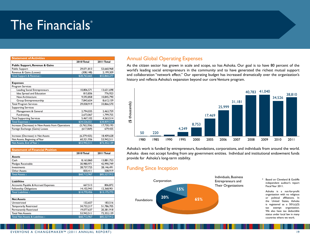# The Financials\*

| <b>Statement of Activities</b>                    |              |              |
|---------------------------------------------------|--------------|--------------|
|                                                   | 2010 Total   | 2011 Total   |
| <b>Public Support, Revenue &amp; Gains</b>        |              |              |
| <b>Public Support</b>                             | 29,071,813   | 53,660,968   |
| Revenue & Gains (Losses)                          | (308, 148)   | 2,199,309    |
| Total Support & Revenue >                         | \$28,763,665 | \$55,860,277 |
| <b>Expenses</b>                                   |              |              |
| Program Services                                  |              |              |
| Leading Social Entrepreneurs                      | 10,806,571   | 13,631,698   |
| Idea Spread and Education                         | 815,836      | 776,923      |
| New Architecture                                  | 9,592,858    | 10,845,790   |
| Group Entrepreneurship                            | 7,843,654    | 8,612,159    |
| <b>Total Program Services</b>                     | 29,058,919   | 33,866,570   |
| <b>Supporting Services</b>                        |              |              |
| Management & General                              | 2,794,035    | 2,463,759    |
| Fundraising                                       | 2,673,067    | 1,799,755    |
| <b>Total Supporting Services</b>                  | 5,467,102    | 4, 263, 514  |
| Total Expenses >                                  | \$34,526,021 | \$38,809,519 |
| Increase (Decrease) in New Assets from Operations | (5,762,356)  | 17,730,193   |
| Foreign Exchange (Gains) Losses                   | (617,069)    | 679,435      |
| Increase (Decrease) in Net Assets                 | (6,379,425)  | 18,409,628   |
| Net Assets, Beginning of Year                     | 60,321,936   | 53,942,511   |
| Net Assets, End of Year >                         | \$53,942,511 | \$72,352,139 |

| <b>Statement of Financial Position</b> |                   |              |
|----------------------------------------|-------------------|--------------|
|                                        | <b>2010 Total</b> | 2011 Total   |
| <b>Assets</b>                          |                   |              |
| Cash                                   | 8,163,860         | 13,881,753   |
| Pledges Receivable                     | 30,980,971        | 42,990,749   |
| Investments                            | 28,737,725        | 28,146,491   |
| <b>Other Assets</b>                    | 830,411           | 508,919      |
| <b>Total Assets</b> >                  | \$68,712,967      | \$85,527,912 |
|                                        |                   |              |
| <b>Liabilities</b>                     |                   |              |
| Accounts Payable & Accrued Expenses    | 667,513           | 806,872      |
| Fellowship Obligations                 | 14,102,943        | 12,368,901   |
| <b>Total Liabilities</b> >             | \$14,770,456      | \$13,175,773 |
|                                        |                   |              |
| <b>Net Assets</b>                      |                   |              |
| Unrestricted                           | 132,657           | 183,516      |
| Temporarily Restricted                 | 34,732,217        | 51,786,705   |
| <b>Permanently Restricted</b>          | 19,077,637        | 20,381,918   |
| <b>Total Net Assests</b>               | 53.942.511        | 72,352,139   |
| Total Net Assets & Liabilities >       | \$68,712,967      | \$85,527,912 |

### Annual Global Operating Expenses

As the citizen sector has grown in scale and scope, so has Ashoka. Our goal is to have 80 percent of the world's leading social entrepreneurs in the community and to have generated the richest mutual support and collaboration "network effect." Our operating budget has increased dramatically over the organization's history and reflects Ashoka's expansion beyond our core Venture program.



Ashoka's work is funded by entrepreneurs, foundations, corporations, and individuals from around the world. Ashoka does not accept funding from any government entities. Individual and institutional endowment funds provide for Ashoka's long-term stability.

### Funding Since Inception

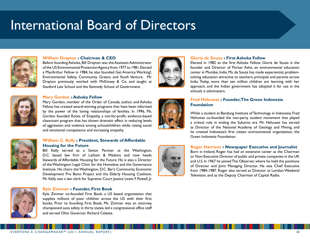# International Board of Directors



### **William Drayton › Chairman & CEO**

Before founding Ashoka, Bill Drayton was the Assistant Administrator of the US Environmental Protection Agency from 1977 to 1981. Elected a MacArthur Fellow in 1984, he also founded Get America Working!, Environmental Safety, Community Greens and Youth Venture. Mr. Drayton previously worked with McKinsey & Co. and taught at Stanford Law School and the Kennedy School of Government.



#### **Mary Gordon › Ashoka Fellow**

Mary Gordon, member of the Order of Canada, author, and Ashoka Fellow, has created award-winning programs that have been informed by the power of the loving relationships of families. In 1996, Ms. Gordon founded Roots of Empathy, a not-for-profit, evidence-based classroom program that has shown dramatic effect in reducing levels of aggression and violence among schoolchildren while raising social and emotional competence and increasing empathy.



### **William C. Kelly › President, Stewards of Affordable Housing for the Future**

Bill Kelly served as a Senior Partner at the Washington, D.C. based law firm of Latham & Watkins and now heads Stewards of Affordable Housing for the Future. He is also a Director of the Washington Legal Clinic for the Homeless and the Governance Institute. He chairs the Washington, D.C. Bar's Community Economic Development Pro Bono Project and the Elderly Housing Coalition. Mr. Kelly was a law clerk for Supreme Court Justice Lewis F. Powell, Jr.



#### **Kyle Zimmer › Founder, First Book**

Kyle Zimmer co-founded First Book, a US based organization that supplies millions of poor children across the US with their first books. Prior to founding First Book, Ms. Zimmer was an attorney, championed auto safety in thirty states, led a congressional office staff and served Ohio Governor Richard Celeste.



### **Gloria de Souza › First Ashoka Fellow**

Elected in 1982 as the first Ashoka Fellow, Gloria de Souza is the founder and Director of Parisar Ashe, an environmental education center in Mumbai, India. Ms. de Souza has made experiential, problemsolving education attractive to teachers, principals and parents across India. Today, more than ten million children are learning with her approach, and the Indian government has adopted it for use in the schools it administers.



### **Fred Hehuwat › Founder, The Green Indonesia Foundation**

While a student at Bandung Institute of Technology in Indonesia, Fred Hehuwat co-founded the non-party student movement that played a critical role in ending the Sukarno era. Mr. Hehuwat has served as Director of the National Academy of Geology and Mining, and he created Indonesia's first citizen environmental organization, the Green Indonesia Foundation.

#### **Roger Harrison › Newspaper Executive and Journalist**

Born in Ireland, Roger has had an extensive career as the Chairman or Non-Executive Director of public and private companies in the UK and U.S. In 1967 he joined The Observer, where he held the positions of Director and Joint Managing Director. He was Chief Executive from 1984-1987. Roger also served as Director at London Weekend Television, and as the Deputy Chairman of Capital Radio.

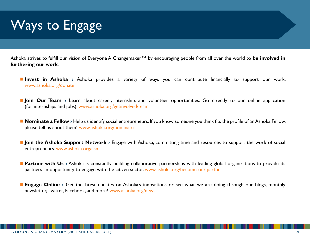# Ways to Engage

Ashoka strives to fulfill our vision of Everyone A Changemaker™ by encouraging people from all over the world to **be involved in furthering our work**.

- **Invest in Ashoka** > Ashoka provides a variety of ways you can contribute financially to support our work. www.ashoka.org/donate
- **I** Join Our Team > Learn about career, internship, and volunteer opportunities. Go directly to our online application (for internships and jobs). www.ashoka.org/getinvolved/team
- **Nominate a Fellow ›** Help us identify social entrepreneurs. If you know someone you think fits the profile of an Ashoka Fellow, please tell us about them! www.ashoka.org/nominate
- **I** Join the Ashoka Support Network > Engage with Ashoka, committing time and resources to support the work of social entrepreneurs. www.ashoka.org/asn
- **Partner with Us** > Ashoka is constantly building collaborative partnerships with leading global organizations to provide its partners an opportunity to engage with the citizen sector. www.ashoka.org/become-our-partner
- **Engage Online >** Get the latest updates on Ashoka's innovations or see what we are doing through our blogs, monthly newsletter, Twitter, Facebook, and more! www.ashoka.org/news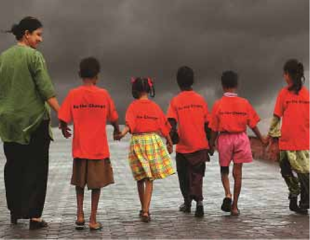